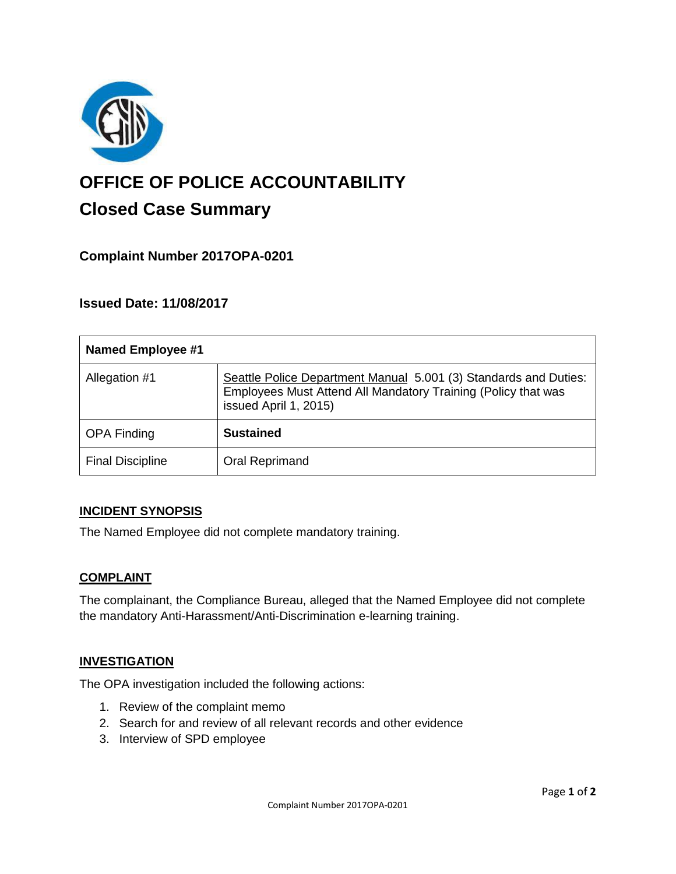

# **OFFICE OF POLICE ACCOUNTABILITY**

# **Closed Case Summary**

# **Complaint Number 2017OPA-0201**

## **Issued Date: 11/08/2017**

| <b>Named Employee #1</b> |                                                                                                                                                            |
|--------------------------|------------------------------------------------------------------------------------------------------------------------------------------------------------|
| Allegation #1            | Seattle Police Department Manual 5.001 (3) Standards and Duties:<br>Employees Must Attend All Mandatory Training (Policy that was<br>issued April 1, 2015) |
| <b>OPA Finding</b>       | <b>Sustained</b>                                                                                                                                           |
| <b>Final Discipline</b>  | Oral Reprimand                                                                                                                                             |

### **INCIDENT SYNOPSIS**

The Named Employee did not complete mandatory training.

### **COMPLAINT**

The complainant, the Compliance Bureau, alleged that the Named Employee did not complete the mandatory Anti-Harassment/Anti-Discrimination e-learning training.

### **INVESTIGATION**

The OPA investigation included the following actions:

- 1. Review of the complaint memo
- 2. Search for and review of all relevant records and other evidence
- 3. Interview of SPD employee